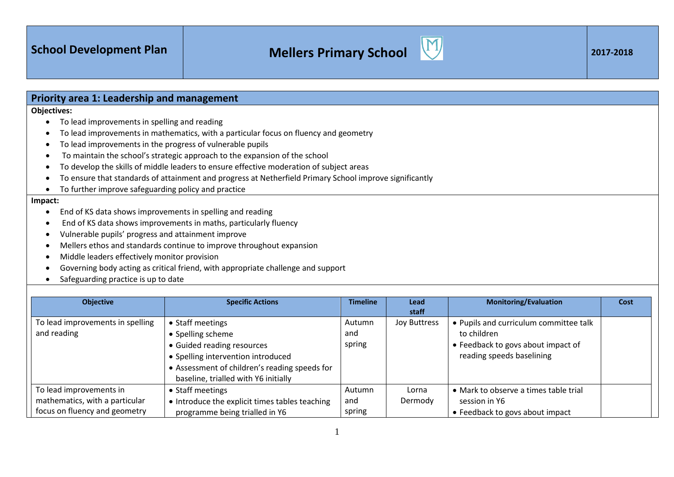| Priority area 1: Leadership and management                       |                                                                                                         |                 |                     |                                        |             |
|------------------------------------------------------------------|---------------------------------------------------------------------------------------------------------|-----------------|---------------------|----------------------------------------|-------------|
| <b>Objectives:</b>                                               |                                                                                                         |                 |                     |                                        |             |
| To lead improvements in spelling and reading<br>$\bullet$        |                                                                                                         |                 |                     |                                        |             |
| ٠                                                                | To lead improvements in mathematics, with a particular focus on fluency and geometry                    |                 |                     |                                        |             |
| $\bullet$                                                        | To lead improvements in the progress of vulnerable pupils                                               |                 |                     |                                        |             |
| €                                                                | To maintain the school's strategic approach to the expansion of the school                              |                 |                     |                                        |             |
| ٠                                                                | To develop the skills of middle leaders to ensure effective moderation of subject areas                 |                 |                     |                                        |             |
| ٠                                                                | To ensure that standards of attainment and progress at Netherfield Primary School improve significantly |                 |                     |                                        |             |
| To further improve safeguarding policy and practice<br>$\bullet$ |                                                                                                         |                 |                     |                                        |             |
| Impact:                                                          |                                                                                                         |                 |                     |                                        |             |
| $\bullet$                                                        | End of KS data shows improvements in spelling and reading                                               |                 |                     |                                        |             |
| $\bullet$                                                        | End of KS data shows improvements in maths, particularly fluency                                        |                 |                     |                                        |             |
| Vulnerable pupils' progress and attainment improve<br>٠          |                                                                                                         |                 |                     |                                        |             |
| ٠                                                                | Mellers ethos and standards continue to improve throughout expansion                                    |                 |                     |                                        |             |
| Middle leaders effectively monitor provision<br>$\bullet$        |                                                                                                         |                 |                     |                                        |             |
|                                                                  | Governing body acting as critical friend, with appropriate challenge and support                        |                 |                     |                                        |             |
| Safeguarding practice is up to date                              |                                                                                                         |                 |                     |                                        |             |
|                                                                  |                                                                                                         |                 |                     |                                        |             |
| <b>Objective</b>                                                 | <b>Specific Actions</b>                                                                                 | <b>Timeline</b> | Lead                | <b>Monitoring/Evaluation</b>           | <b>Cost</b> |
|                                                                  |                                                                                                         |                 | staff               |                                        |             |
| To lead improvements in spelling                                 | • Staff meetings                                                                                        | Autumn          | <b>Joy Buttress</b> | • Pupils and curriculum committee talk |             |
| and reading                                                      | • Spelling scheme                                                                                       | and             |                     | to children                            |             |
|                                                                  | • Guided reading resources                                                                              | spring          |                     | • Feedback to govs about impact of     |             |
|                                                                  | • Spelling intervention introduced                                                                      |                 |                     | reading speeds baselining              |             |

|                                | Counted Teaching Tesources                     |        |         | , coapach to go to about impact of    |  |
|--------------------------------|------------------------------------------------|--------|---------|---------------------------------------|--|
|                                | • Spelling intervention introduced             |        |         | reading speeds baselining             |  |
|                                | • Assessment of children's reading speeds for  |        |         |                                       |  |
|                                | baseline, trialled with Y6 initially           |        |         |                                       |  |
| To lead improvements in        | • Staff meetings                               | Autumn | Lorna   | • Mark to observe a times table trial |  |
| mathematics, with a particular | • Introduce the explicit times tables teaching | and    | Dermody | session in Y6                         |  |
| focus on fluency and geometry  | programme being trialled in Y6                 | spring |         | • Feedback to govs about impact       |  |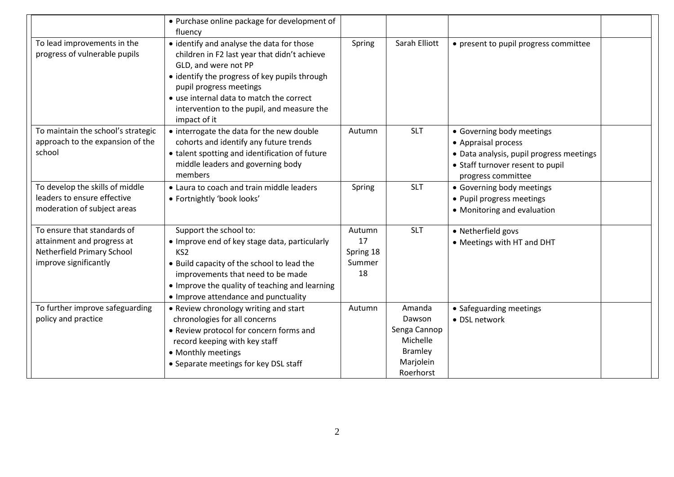|                                                                                                                  | • Purchase online package for development of<br>fluency                                                                                                                                                                                                                                                 |                                           |                                                                                          |                                                                                                                                                        |  |
|------------------------------------------------------------------------------------------------------------------|---------------------------------------------------------------------------------------------------------------------------------------------------------------------------------------------------------------------------------------------------------------------------------------------------------|-------------------------------------------|------------------------------------------------------------------------------------------|--------------------------------------------------------------------------------------------------------------------------------------------------------|--|
| To lead improvements in the<br>progress of vulnerable pupils                                                     | • identify and analyse the data for those<br>children in F2 last year that didn't achieve<br>GLD, and were not PP<br>• identify the progress of key pupils through<br>pupil progress meetings<br>• use internal data to match the correct<br>intervention to the pupil, and measure the<br>impact of it | Spring                                    | Sarah Elliott                                                                            | • present to pupil progress committee                                                                                                                  |  |
| To maintain the school's strategic<br>approach to the expansion of the<br>school                                 | • interrogate the data for the new double<br>cohorts and identify any future trends<br>• talent spotting and identification of future<br>middle leaders and governing body<br>members                                                                                                                   | Autumn                                    | <b>SLT</b>                                                                               | • Governing body meetings<br>• Appraisal process<br>· Data analysis, pupil progress meetings<br>• Staff turnover resent to pupil<br>progress committee |  |
| To develop the skills of middle<br>leaders to ensure effective<br>moderation of subject areas                    | • Laura to coach and train middle leaders<br>· Fortnightly 'book looks'                                                                                                                                                                                                                                 | Spring                                    | <b>SLT</b>                                                                               | • Governing body meetings<br>• Pupil progress meetings<br>• Monitoring and evaluation                                                                  |  |
| To ensure that standards of<br>attainment and progress at<br>Netherfield Primary School<br>improve significantly | Support the school to:<br>• Improve end of key stage data, particularly<br>KS <sub>2</sub><br>• Build capacity of the school to lead the<br>improvements that need to be made<br>• Improve the quality of teaching and learning<br>• Improve attendance and punctuality                                 | Autumn<br>17<br>Spring 18<br>Summer<br>18 | <b>SLT</b>                                                                               | • Netherfield govs<br>• Meetings with HT and DHT                                                                                                       |  |
| To further improve safeguarding<br>policy and practice                                                           | • Review chronology writing and start<br>chronologies for all concerns<br>• Review protocol for concern forms and<br>record keeping with key staff<br>• Monthly meetings<br>• Separate meetings for key DSL staff                                                                                       | Autumn                                    | Amanda<br>Dawson<br>Senga Cannop<br>Michelle<br><b>Bramley</b><br>Marjolein<br>Roerhorst | • Safeguarding meetings<br>• DSL network                                                                                                               |  |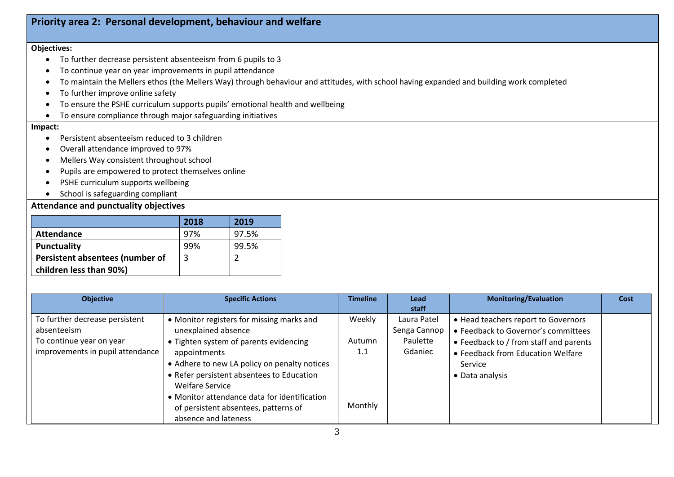## **Priority area 2: Personal development, behaviour and welfare**

#### **Objectives:**

- To further decrease persistent absenteeism from 6 pupils to 3
- To continue year on year improvements in pupil attendance
- To maintain the Mellers ethos (the Mellers Way) through behaviour and attitudes, with school having expanded and building work completed
- To further improve online safety
- To ensure the PSHE curriculum supports pupils' emotional health and wellbeing
- To ensure compliance through major safeguarding initiatives

#### **Impact:**

- Persistent absenteeism reduced to 3 children
- Overall attendance improved to 97%
- Mellers Way consistent throughout school
- Pupils are empowered to protect themselves online
- PSHE curriculum supports wellbeing
- School is safeguarding compliant

## **Attendance and punctuality objectives**

|                                 | 2018 | 2019  |
|---------------------------------|------|-------|
| <b>Attendance</b>               | 97%  | 97.5% |
| <b>Punctuality</b>              | 99%  | 99.5% |
| Persistent absentees (number of | 3    |       |
| children less than 90%)         |      |       |

| <b>Objective</b>                 | <b>Specific Actions</b>                      | <b>Timeline</b> | Lead         | <b>Monitoring/Evaluation</b>           | Cost |
|----------------------------------|----------------------------------------------|-----------------|--------------|----------------------------------------|------|
|                                  |                                              |                 | staff        |                                        |      |
| To further decrease persistent   | • Monitor registers for missing marks and    | Weekly          | Laura Patel  | • Head teachers report to Governors    |      |
| absenteeism                      | unexplained absence                          |                 | Senga Cannop | • Feedback to Governor's committees    |      |
| To continue year on year         | • Tighten system of parents evidencing       | Autumn          | Paulette     | • Feedback to / from staff and parents |      |
| improvements in pupil attendance | appointments                                 | $1.1\,$         | Gdaniec      | • Feedback from Education Welfare      |      |
|                                  | • Adhere to new LA policy on penalty notices |                 |              | Service                                |      |
|                                  | • Refer persistent absentees to Education    |                 |              | • Data analysis                        |      |
|                                  | <b>Welfare Service</b>                       |                 |              |                                        |      |
|                                  | • Monitor attendance data for identification |                 |              |                                        |      |
|                                  | of persistent absentees, patterns of         | Monthly         |              |                                        |      |
|                                  | absence and lateness                         |                 |              |                                        |      |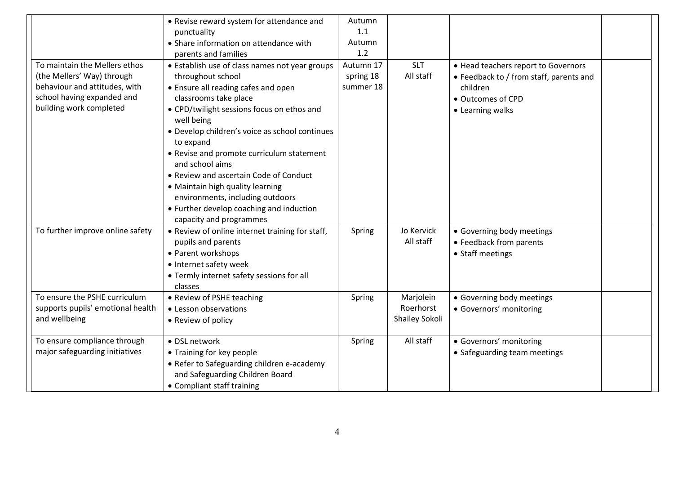| To maintain the Mellers ethos<br>(the Mellers' Way) through<br>behaviour and attitudes, with<br>school having expanded and<br>building work completed | • Revise reward system for attendance and<br>punctuality<br>• Share information on attendance with<br>parents and families<br>• Establish use of class names not year groups<br>throughout school<br>• Ensure all reading cafes and open<br>classrooms take place<br>• CPD/twilight sessions focus on ethos and<br>well being<br>• Develop children's voice as school continues<br>to expand<br>• Revise and promote curriculum statement<br>and school aims<br>• Review and ascertain Code of Conduct<br>• Maintain high quality learning<br>environments, including outdoors | Autumn<br>1.1<br>Autumn<br>1.2<br>Autumn 17<br>spring 18<br>summer 18 | <b>SLT</b><br>All staff                  | • Head teachers report to Governors<br>• Feedback to / from staff, parents and<br>children<br>• Outcomes of CPD<br>• Learning walks |  |
|-------------------------------------------------------------------------------------------------------------------------------------------------------|--------------------------------------------------------------------------------------------------------------------------------------------------------------------------------------------------------------------------------------------------------------------------------------------------------------------------------------------------------------------------------------------------------------------------------------------------------------------------------------------------------------------------------------------------------------------------------|-----------------------------------------------------------------------|------------------------------------------|-------------------------------------------------------------------------------------------------------------------------------------|--|
| To further improve online safety                                                                                                                      | • Further develop coaching and induction<br>capacity and programmes<br>• Review of online internet training for staff,<br>pupils and parents<br>• Parent workshops<br>• Internet safety week<br>• Termly internet safety sessions for all<br>classes                                                                                                                                                                                                                                                                                                                           | Spring                                                                | Jo Kervick<br>All staff                  | • Governing body meetings<br>• Feedback from parents<br>• Staff meetings                                                            |  |
| To ensure the PSHE curriculum<br>supports pupils' emotional health<br>and wellbeing                                                                   | • Review of PSHE teaching<br>• Lesson observations<br>• Review of policy                                                                                                                                                                                                                                                                                                                                                                                                                                                                                                       | Spring                                                                | Marjolein<br>Roerhorst<br>Shailey Sokoli | • Governing body meetings<br>· Governors' monitoring                                                                                |  |
| To ensure compliance through<br>major safeguarding initiatives                                                                                        | • DSL network<br>• Training for key people<br>• Refer to Safeguarding children e-academy<br>and Safeguarding Children Board<br>• Compliant staff training                                                                                                                                                                                                                                                                                                                                                                                                                      | Spring                                                                | All staff                                | · Governors' monitoring<br>• Safeguarding team meetings                                                                             |  |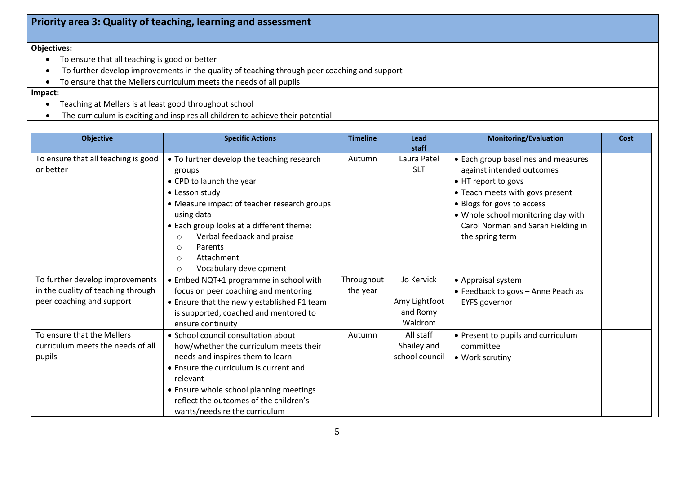# **Priority area 3: Quality of teaching, learning and assessment**

### **Objectives:**

- To ensure that all teaching is good or better
- To further develop improvements in the quality of teaching through peer coaching and support
- To ensure that the Mellers curriculum meets the needs of all pupils

### **Impact:**

- Teaching at Mellers is at least good throughout school
- The curriculum is exciting and inspires all children to achieve their potential

| <b>Objective</b>                                                                                   | <b>Specific Actions</b>                                                                                                                                                                                                                                                                                                                  | <b>Timeline</b>        | Lead<br>staff                                      | <b>Monitoring/Evaluation</b>                                                                                                                                                                                                                            | Cost |
|----------------------------------------------------------------------------------------------------|------------------------------------------------------------------------------------------------------------------------------------------------------------------------------------------------------------------------------------------------------------------------------------------------------------------------------------------|------------------------|----------------------------------------------------|---------------------------------------------------------------------------------------------------------------------------------------------------------------------------------------------------------------------------------------------------------|------|
| To ensure that all teaching is good<br>or better                                                   | • To further develop the teaching research<br>groups<br>• CPD to launch the year<br>• Lesson study<br>• Measure impact of teacher research groups<br>using data<br>• Each group looks at a different theme:<br>Verbal feedback and praise<br>$\circ$<br>Parents<br>$\circ$<br>Attachment<br>$\circ$<br>Vocabulary development<br>$\circ$ | Autumn                 | Laura Patel<br><b>SLT</b>                          | • Each group baselines and measures<br>against intended outcomes<br>• HT report to govs<br>• Teach meets with govs present<br>• Blogs for govs to access<br>• Whole school monitoring day with<br>Carol Norman and Sarah Fielding in<br>the spring term |      |
| To further develop improvements<br>in the quality of teaching through<br>peer coaching and support | • Embed NQT+1 programme in school with<br>focus on peer coaching and mentoring<br>• Ensure that the newly established F1 team<br>is supported, coached and mentored to<br>ensure continuity                                                                                                                                              | Throughout<br>the year | Jo Kervick<br>Amy Lightfoot<br>and Romy<br>Waldrom | • Appraisal system<br>• Feedback to govs - Anne Peach as<br><b>EYFS</b> governor                                                                                                                                                                        |      |
| To ensure that the Mellers<br>curriculum meets the needs of all<br>pupils                          | • School council consultation about<br>how/whether the curriculum meets their<br>needs and inspires them to learn<br>• Ensure the curriculum is current and<br>relevant<br>• Ensure whole school planning meetings<br>reflect the outcomes of the children's<br>wants/needs re the curriculum                                            | Autumn                 | All staff<br>Shailey and<br>school council         | • Present to pupils and curriculum<br>committee<br>• Work scrutiny                                                                                                                                                                                      |      |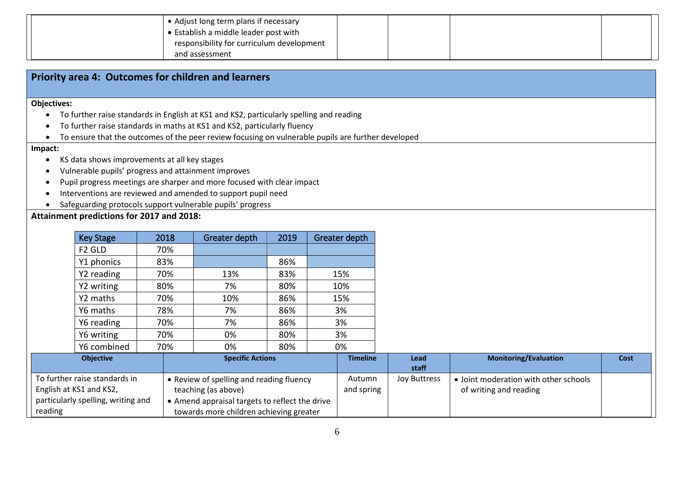| • Adjust long term plans if necessary     |  |  |
|-------------------------------------------|--|--|
| • Establish a middle leader post with     |  |  |
| responsibility for curriculum development |  |  |
| and assessment                            |  |  |

| Priority area 4: Outcomes for children and learners                                                |  |  |  |  |  |  |  |
|----------------------------------------------------------------------------------------------------|--|--|--|--|--|--|--|
|                                                                                                    |  |  |  |  |  |  |  |
| <b>Objectives:</b>                                                                                 |  |  |  |  |  |  |  |
| To further raise standards in English at KS1 and KS2, particularly spelling and reading            |  |  |  |  |  |  |  |
| To further raise standards in maths at KS1 and KS2, particularly fluency                           |  |  |  |  |  |  |  |
| To ensure that the outcomes of the peer review focusing on vulnerable pupils are further developed |  |  |  |  |  |  |  |
| Impact:                                                                                            |  |  |  |  |  |  |  |
| KS data shows improvements at all key stages                                                       |  |  |  |  |  |  |  |
| Vulnerable pupils' progress and attainment improves                                                |  |  |  |  |  |  |  |
| Pupil progress meetings are sharper and more focused with clear impact                             |  |  |  |  |  |  |  |
| Interventions are reviewed and amended to support pupil need                                       |  |  |  |  |  |  |  |

Safeguarding protocols support vulnerable pupils' progress

#### **Attainment predictions for 2017 and 2018:**

|         | <b>Key Stage</b>                                         | 2018 | Greater depth                                                                             | 2019 | Greater depth        |                     |                                                                 |      |
|---------|----------------------------------------------------------|------|-------------------------------------------------------------------------------------------|------|----------------------|---------------------|-----------------------------------------------------------------|------|
|         | F <sub>2</sub> GLD                                       | 70%  |                                                                                           |      |                      |                     |                                                                 |      |
|         | Y1 phonics                                               | 83%  |                                                                                           | 86%  |                      |                     |                                                                 |      |
|         | Y2 reading                                               | 70%  | 13%                                                                                       | 83%  | 15%                  |                     |                                                                 |      |
|         | Y2 writing                                               | 80%  | 7%                                                                                        | 80%  | 10%                  |                     |                                                                 |      |
|         | Y2 maths                                                 | 70%  | 10%                                                                                       | 86%  | 15%                  |                     |                                                                 |      |
|         | Y6 maths                                                 | 78%  | 7%                                                                                        | 86%  | 3%                   |                     |                                                                 |      |
|         | Y6 reading                                               | 70%  | 7%                                                                                        | 86%  | 3%                   |                     |                                                                 |      |
|         | Y6 writing                                               | 70%  | 0%                                                                                        | 80%  | 3%                   |                     |                                                                 |      |
|         | Y6 combined                                              | 70%  | 0%                                                                                        | 80%  | 0%                   |                     |                                                                 |      |
|         | <b>Objective</b>                                         |      | <b>Specific Actions</b>                                                                   |      | <b>Timeline</b>      | Lead<br>staff       | <b>Monitoring/Evaluation</b>                                    | Cost |
|         | To further raise standards in<br>English at KS1 and KS2, |      | • Review of spelling and reading fluency<br>teaching (as above)                           |      | Autumn<br>and spring | <b>Joy Buttress</b> | • Joint moderation with other schools<br>of writing and reading |      |
| reading | particularly spelling, writing and                       |      | • Amend appraisal targets to reflect the drive<br>towards more children achieving greater |      |                      |                     |                                                                 |      |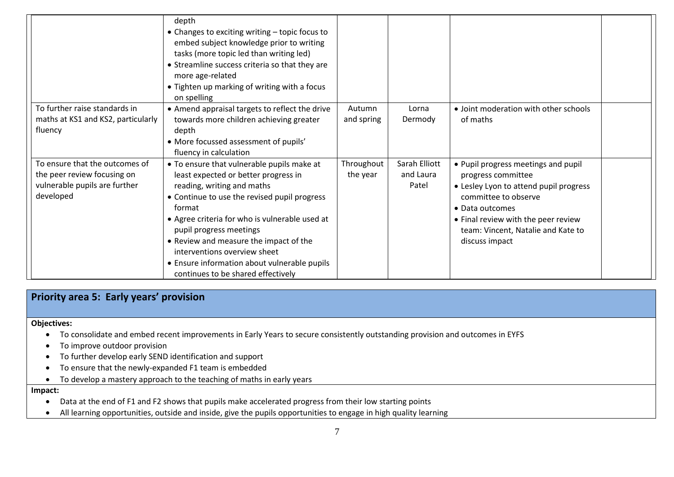|                                                                                                             | depth<br>• Changes to exciting writing – topic focus to<br>embed subject knowledge prior to writing<br>tasks (more topic led than writing led)<br>• Streamline success criteria so that they are<br>more age-related<br>• Tighten up marking of writing with a focus<br>on spelling                                                                                                                                     |                        |                                     |                                                                                                                                                                                                                                               |  |
|-------------------------------------------------------------------------------------------------------------|-------------------------------------------------------------------------------------------------------------------------------------------------------------------------------------------------------------------------------------------------------------------------------------------------------------------------------------------------------------------------------------------------------------------------|------------------------|-------------------------------------|-----------------------------------------------------------------------------------------------------------------------------------------------------------------------------------------------------------------------------------------------|--|
| To further raise standards in<br>maths at KS1 and KS2, particularly<br>fluency                              | • Amend appraisal targets to reflect the drive<br>towards more children achieving greater<br>depth<br>• More focussed assessment of pupils'<br>fluency in calculation                                                                                                                                                                                                                                                   | Autumn<br>and spring   | Lorna<br>Dermody                    | • Joint moderation with other schools<br>of maths                                                                                                                                                                                             |  |
| To ensure that the outcomes of<br>the peer review focusing on<br>vulnerable pupils are further<br>developed | • To ensure that vulnerable pupils make at<br>least expected or better progress in<br>reading, writing and maths<br>• Continue to use the revised pupil progress<br>format<br>• Agree criteria for who is vulnerable used at<br>pupil progress meetings<br>• Review and measure the impact of the<br>interventions overview sheet<br>• Ensure information about vulnerable pupils<br>continues to be shared effectively | Throughout<br>the year | Sarah Elliott<br>and Laura<br>Patel | • Pupil progress meetings and pupil<br>progress committee<br>• Lesley Lyon to attend pupil progress<br>committee to observe<br>• Data outcomes<br>• Final review with the peer review<br>team: Vincent, Natalie and Kate to<br>discuss impact |  |

## **Priority area 5: Early years' provision**

#### **Objectives:**

- To consolidate and embed recent improvements in Early Years to secure consistently outstanding provision and outcomes in EYFS
- To improve outdoor provision
- To further develop early SEND identification and support
- To ensure that the newly-expanded F1 team is embedded
- To develop a mastery approach to the teaching of maths in early years

#### **Impact:**

- Data at the end of F1 and F2 shows that pupils make accelerated progress from their low starting points
- All learning opportunities, outside and inside, give the pupils opportunities to engage in high quality learning